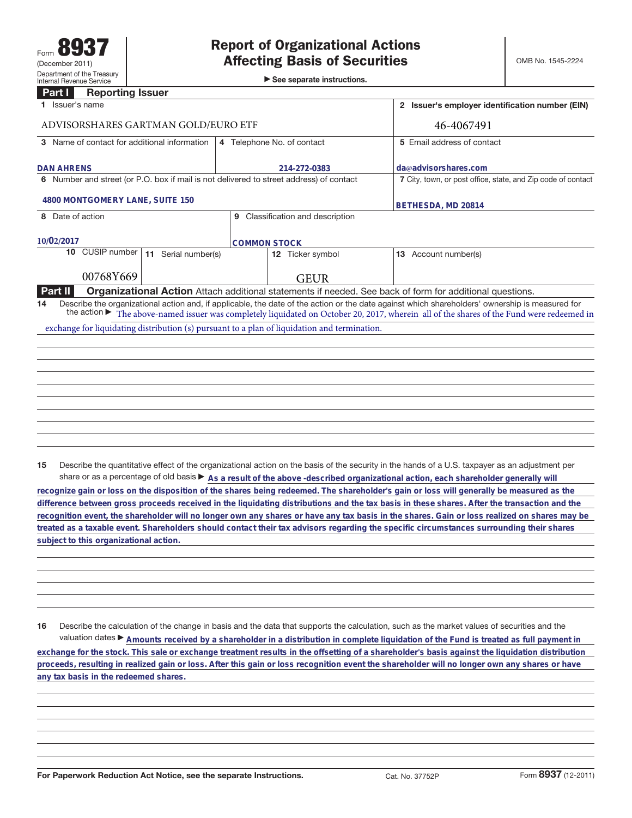►<br>► See separate instructions.

## **Part I Reporting Issuer**

| 1 Issuer's name                                                                              | 2 Issuer's employer identification number (EIN)              |                                |                                                                                                                                                                                                                                                                                                                  |  |  |
|----------------------------------------------------------------------------------------------|--------------------------------------------------------------|--------------------------------|------------------------------------------------------------------------------------------------------------------------------------------------------------------------------------------------------------------------------------------------------------------------------------------------------------------|--|--|
| ADVISORSHARES GARTMAN GOLD/EURO ETF                                                          | 46-4067491                                                   |                                |                                                                                                                                                                                                                                                                                                                  |  |  |
| 3 Name of contact for additional information                                                 |                                                              | 4 Telephone No. of contact     | 5 Email address of contact                                                                                                                                                                                                                                                                                       |  |  |
| <b>DAN AHRENS</b>                                                                            |                                                              | 214-272-0383                   | da@advisorshares.com                                                                                                                                                                                                                                                                                             |  |  |
| 6 Number and street (or P.O. box if mail is not delivered to street address) of contact      | 7 City, town, or post office, state, and Zip code of contact |                                |                                                                                                                                                                                                                                                                                                                  |  |  |
| 4800 MONTGOMERY LANE, SUITE 150                                                              | BETHESDA, MD 20814                                           |                                |                                                                                                                                                                                                                                                                                                                  |  |  |
| 8 Date of action                                                                             | 9                                                            | Classification and description |                                                                                                                                                                                                                                                                                                                  |  |  |
| 10/02/2017                                                                                   |                                                              | <b>COMMON STOCK</b>            |                                                                                                                                                                                                                                                                                                                  |  |  |
| CUSIP number I<br>10<br>11 Serial number(s)                                                  |                                                              | 12 Ticker symbol               | 13 Account number(s)                                                                                                                                                                                                                                                                                             |  |  |
| 00768Y669                                                                                    |                                                              | <b>GEUR</b>                    |                                                                                                                                                                                                                                                                                                                  |  |  |
| Part II                                                                                      |                                                              |                                | <b>Organizational Action</b> Attach additional statements if needed. See back of form for additional questions.                                                                                                                                                                                                  |  |  |
| 14                                                                                           |                                                              |                                | Describe the organizational action and, if applicable, the date of the action or the date against which shareholders' ownership is measured for<br>the action $\blacktriangleright$ The above-named issuer was completely liquidated on October 20, 2017, wherein all of the shares of the Fund were redeemed in |  |  |
| exchange for liquidating distribution (s) pursuant to a plan of liquidation and termination. |                                                              |                                |                                                                                                                                                                                                                                                                                                                  |  |  |
|                                                                                              |                                                              |                                |                                                                                                                                                                                                                                                                                                                  |  |  |
|                                                                                              |                                                              |                                |                                                                                                                                                                                                                                                                                                                  |  |  |
|                                                                                              |                                                              |                                |                                                                                                                                                                                                                                                                                                                  |  |  |
|                                                                                              |                                                              |                                |                                                                                                                                                                                                                                                                                                                  |  |  |
|                                                                                              |                                                              |                                |                                                                                                                                                                                                                                                                                                                  |  |  |
|                                                                                              |                                                              |                                |                                                                                                                                                                                                                                                                                                                  |  |  |
|                                                                                              |                                                              |                                |                                                                                                                                                                                                                                                                                                                  |  |  |

**15** Describe the quantitative effect of the organizational action on the basis of the security in the hands of a U.S. taxpayer as an adjustment per share or as a percentage of old basis  $\blacktriangleright$  As a result of the above -described organizational action, each shareholder generally will

**recognize gain or loss on the disposition of the shares being redeemed. The shareholder's gain or loss will generally be measured as the difference between gross proceeds received in the liquidating distributions and the tax basis in these shares. After the transaction and the recognition event, the shareholder will no longer own any shares or have any tax basis in the shares. Gain or loss realized on shares may be treated as a taxable event. Shareholders should contact their tax advisors regarding the specific circumstances surrounding their shares subject to this organizational action.**

**16** Describe the calculation of the change in basis and the data that supports the calculation, such as the market values of securities and the valuation dates ▶ Amounts received by a shareholder in a distribution in complete liquidation of the Fund is treated as full payment in **exchange for the stock. This sale or exchange treatment results in the offsetting of a shareholder's basis against the liquidation distribution proceeds, resulting in realized gain or loss. After this gain or loss recognition event the shareholder will no longer own any shares or have any tax basis in the redeemed shares.**